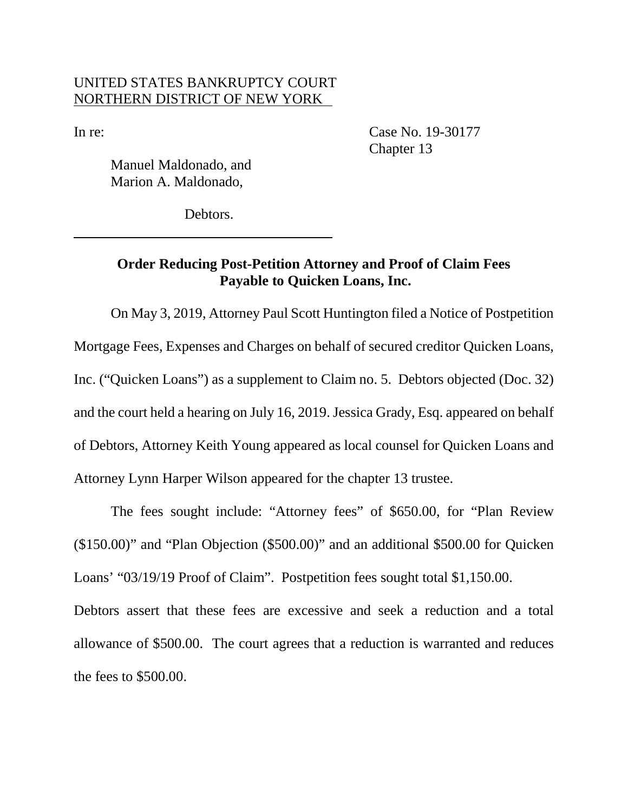## UNITED STATES BANKRUPTCY COURT NORTHERN DISTRICT OF NEW YORK

In re: Case No. 19-30177 Chapter 13

Manuel Maldonado, and Marion A. Maldonado,

Debtors.

## **Order Reducing Post-Petition Attorney and Proof of Claim Fees Payable to Quicken Loans, Inc.**

On May 3, 2019, Attorney Paul Scott Huntington filed a Notice of Postpetition Mortgage Fees, Expenses and Charges on behalf of secured creditor Quicken Loans, Inc. ("Quicken Loans") as a supplement to Claim no. 5. Debtors objected (Doc. 32) and the court held a hearing on July 16, 2019. Jessica Grady, Esq. appeared on behalf of Debtors, Attorney Keith Young appeared as local counsel for Quicken Loans and Attorney Lynn Harper Wilson appeared for the chapter 13 trustee.

The fees sought include: "Attorney fees" of \$650.00, for "Plan Review (\$150.00)" and "Plan Objection (\$500.00)" and an additional \$500.00 for Quicken Loans' "03/19/19 Proof of Claim". Postpetition fees sought total \$1,150.00.

Debtors assert that these fees are excessive and seek a reduction and a total allowance of \$500.00. The court agrees that a reduction is warranted and reduces the fees to \$500.00.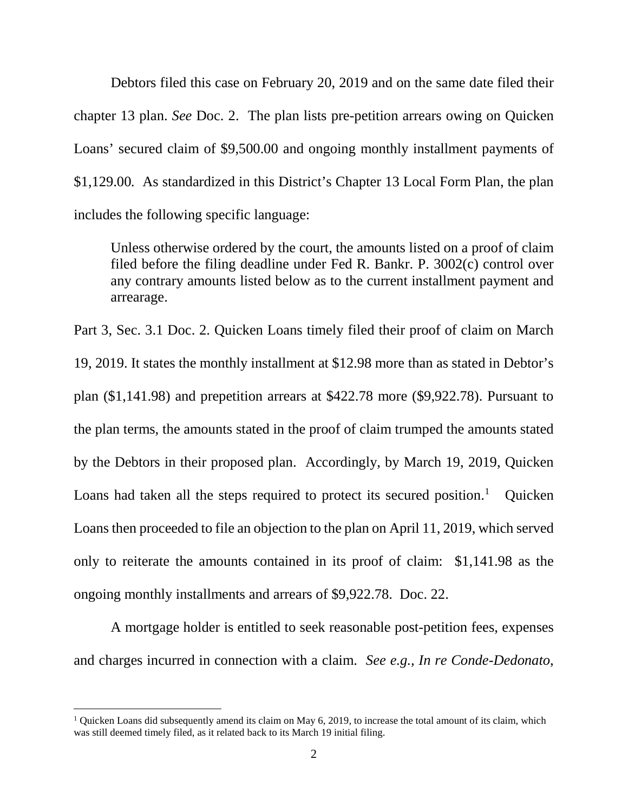Debtors filed this case on February 20, 2019 and on the same date filed their chapter 13 plan. *See* Doc. 2. The plan lists pre-petition arrears owing on Quicken Loans' secured claim of \$9,500.00 and ongoing monthly installment payments of \$1,129.00*.* As standardized in this District's Chapter 13 Local Form Plan, the plan includes the following specific language:

Unless otherwise ordered by the court, the amounts listed on a proof of claim filed before the filing deadline under Fed R. Bankr. P. 3002(c) control over any contrary amounts listed below as to the current installment payment and arrearage.

Part 3, Sec. 3.1 Doc. 2. Quicken Loans timely filed their proof of claim on March 19, 2019. It states the monthly installment at \$12.98 more than as stated in Debtor's plan (\$1,141.98) and prepetition arrears at \$422.78 more (\$9,922.78). Pursuant to the plan terms, the amounts stated in the proof of claim trumped the amounts stated by the Debtors in their proposed plan. Accordingly, by March 19, 2019, Quicken Loans had taken all the steps required to protect its secured position.<sup>1</sup> Quicken Loans then proceeded to file an objection to the plan on April 11, 2019, which served only to reiterate the amounts contained in its proof of claim: \$1,141.98 as the ongoing monthly installments and arrears of \$9,922.78. Doc. 22.

A mortgage holder is entitled to seek reasonable post-petition fees, expenses and charges incurred in connection with a claim. *See e.g., In re Conde-Dedonato*,

<sup>&</sup>lt;sup>1</sup> Quicken Loans did subsequently amend its claim on May 6, 2019, to increase the total amount of its claim, which was still deemed timely filed, as it related back to its March 19 initial filing.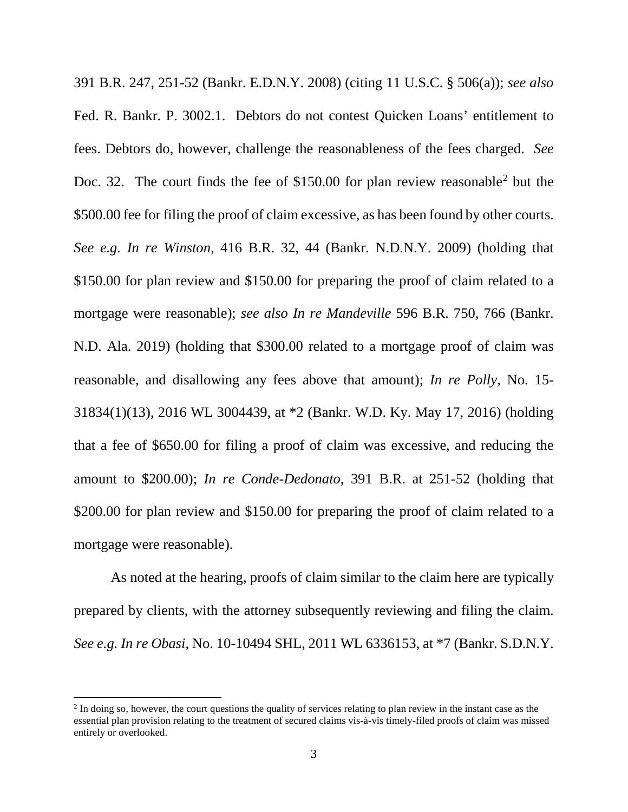391 B.R. 247, 251-52 (Bankr. E.D.N.Y. 2008) (citing 11 U.S.C. § 506(a)); *see also*  Fed. R. Bankr. P. 3002.1. Debtors do not contest Quicken Loans' entitlement to fees. Debtors do, however, challenge the reasonableness of the fees charged. *See*  Doc. 32. The court finds the fee of \$150.00 for plan review reasonable<sup>2</sup> but the \$500.00 fee for filing the proof of claim excessive, as has been found by other courts. *See e.g. In re Winston*, 416 B.R. 32, 44 (Bankr. N.D.N.Y. 2009) (holding that \$150.00 for plan review and \$150.00 for preparing the proof of claim related to a mortgage were reasonable); *see also In re Mandeville* 596 B.R. 750, 766 (Bankr. N.D. Ala. 2019) (holding that \$300.00 related to a mortgage proof of claim was reasonable, and disallowing any fees above that amount); *In re Polly*, No. 15- 31834(1)(13), 2016 WL 3004439, at \*2 (Bankr. W.D. Ky. May 17, 2016) (holding that a fee of \$650.00 for filing a proof of claim was excessive, and reducing the amount to \$200.00); *In re Conde-Dedonato*, 391 B.R. at 251-52 (holding that \$200.00 for plan review and \$150.00 for preparing the proof of claim related to a mortgage were reasonable).

As noted at the hearing, proofs of claim similar to the claim here are typically prepared by clients, with the attorney subsequently reviewing and filing the claim. *See e.g. In re Obasi*, No. 10-10494 SHL, 2011 WL 6336153, at \*7 (Bankr. S.D.N.Y.

<sup>&</sup>lt;sup>2</sup> In doing so, however, the court questions the quality of services relating to plan review in the instant case as the essential plan provision relating to the treatment of secured claims vis-à-vis timely-filed proofs of claim was missed entirely or overlooked.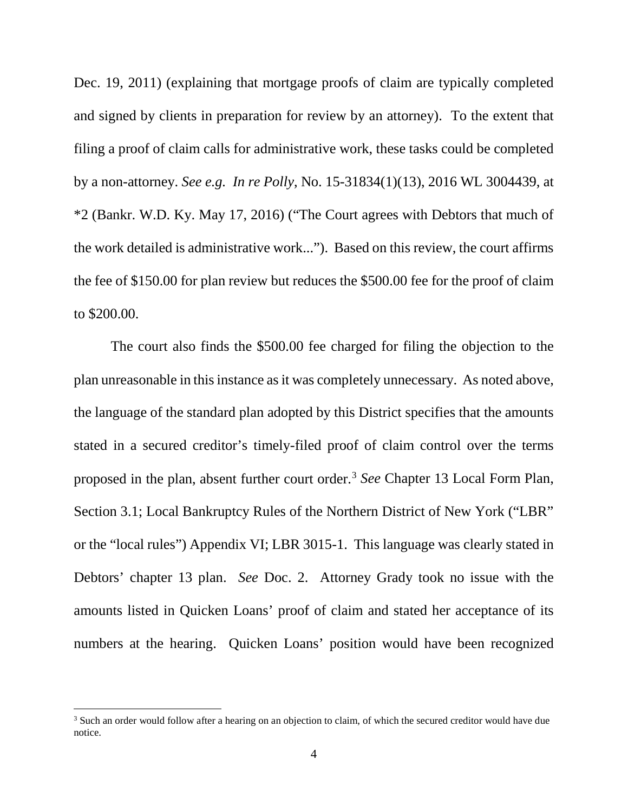Dec. 19, 2011) (explaining that mortgage proofs of claim are typically completed and signed by clients in preparation for review by an attorney). To the extent that filing a proof of claim calls for administrative work, these tasks could be completed by a non-attorney. *See e.g. In re Polly*, No. 15-31834(1)(13), 2016 WL 3004439, at \*2 (Bankr. W.D. Ky. May 17, 2016) ("The Court agrees with Debtors that much of the work detailed is administrative work..."). Based on this review, the court affirms the fee of \$150.00 for plan review but reduces the \$500.00 fee for the proof of claim to \$200.00.

The court also finds the \$500.00 fee charged for filing the objection to the plan unreasonable in this instance as it was completely unnecessary. As noted above, the language of the standard plan adopted by this District specifies that the amounts stated in a secured creditor's timely-filed proof of claim control over the terms proposed in the plan, absent further court order.3 *See* Chapter 13 Local Form Plan, Section 3.1; Local Bankruptcy Rules of the Northern District of New York ("LBR" or the "local rules") Appendix VI; LBR 3015-1. This language was clearly stated in Debtors' chapter 13 plan. *See* Doc. 2. Attorney Grady took no issue with the amounts listed in Quicken Loans' proof of claim and stated her acceptance of its numbers at the hearing. Quicken Loans' position would have been recognized

<sup>&</sup>lt;sup>3</sup> Such an order would follow after a hearing on an objection to claim, of which the secured creditor would have due notice.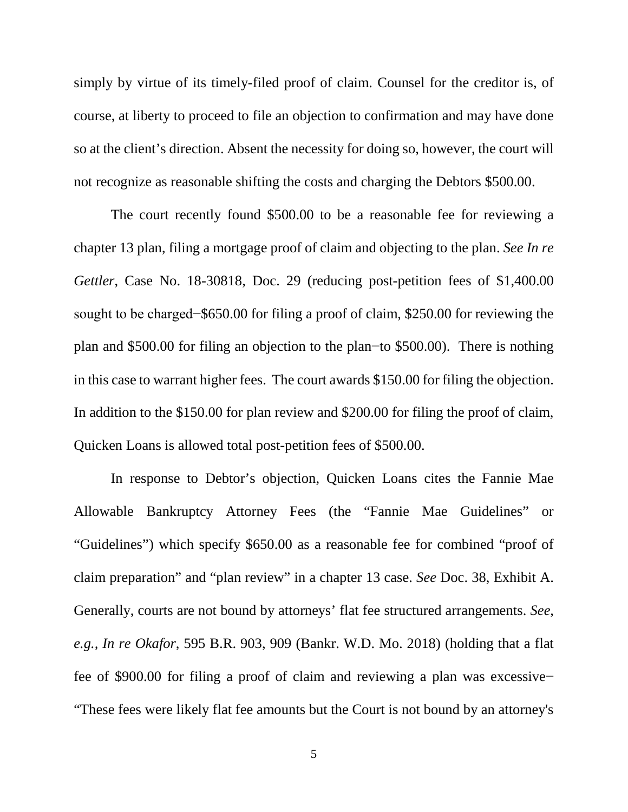simply by virtue of its timely-filed proof of claim. Counsel for the creditor is, of course, at liberty to proceed to file an objection to confirmation and may have done so at the client's direction. Absent the necessity for doing so, however, the court will not recognize as reasonable shifting the costs and charging the Debtors \$500.00.

The court recently found \$500.00 to be a reasonable fee for reviewing a chapter 13 plan, filing a mortgage proof of claim and objecting to the plan. *See In re Gettler*, Case No. 18-30818, Doc. 29 (reducing post-petition fees of \$1,400.00 sought to be charged−\$650.00 for filing a proof of claim, \$250.00 for reviewing the plan and \$500.00 for filing an objection to the plan−to \$500.00). There is nothing in this case to warrant higher fees. The court awards \$150.00 for filing the objection. In addition to the \$150.00 for plan review and \$200.00 for filing the proof of claim, Quicken Loans is allowed total post-petition fees of \$500.00.

In response to Debtor's objection, Quicken Loans cites the Fannie Mae Allowable Bankruptcy Attorney Fees (the "Fannie Mae Guidelines" or "Guidelines") which specify \$650.00 as a reasonable fee for combined "proof of claim preparation" and "plan review" in a chapter 13 case. *See* Doc. 38, Exhibit A. Generally, courts are not bound by attorneys' flat fee structured arrangements. *See, e.g., In re Okafor*, 595 B.R. 903, 909 (Bankr. W.D. Mo. 2018) (holding that a flat fee of \$900.00 for filing a proof of claim and reviewing a plan was excessive− "These fees were likely flat fee amounts but the Court is not bound by an attorney's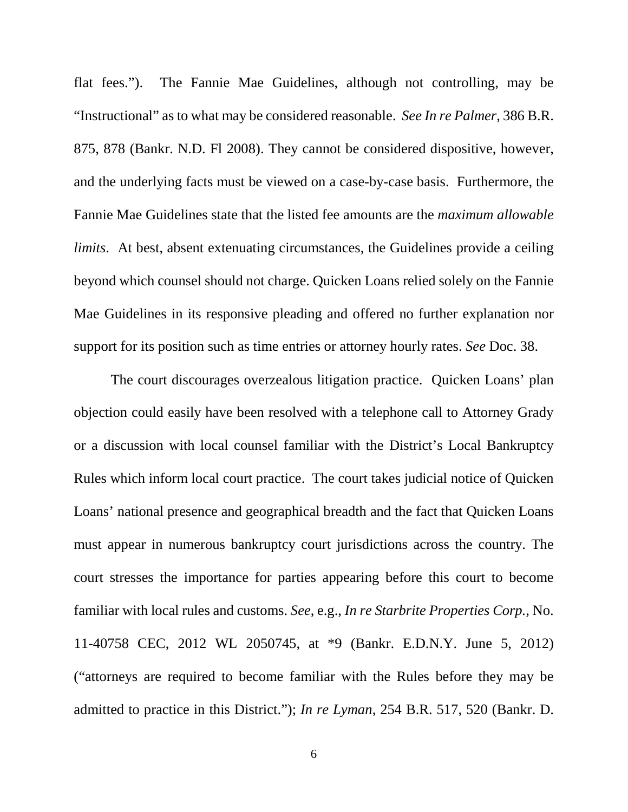flat fees."). The Fannie Mae Guidelines, although not controlling, may be "Instructional" as to what may be considered reasonable. *See In re Palmer,* 386 B.R. 875, 878 (Bankr. N.D. Fl 2008). They cannot be considered dispositive, however, and the underlying facts must be viewed on a case-by-case basis. Furthermore, the Fannie Mae Guidelines state that the listed fee amounts are the *maximum allowable limits*. At best, absent extenuating circumstances, the Guidelines provide a ceiling beyond which counsel should not charge. Quicken Loans relied solely on the Fannie Mae Guidelines in its responsive pleading and offered no further explanation nor support for its position such as time entries or attorney hourly rates. *See* Doc. 38.

The court discourages overzealous litigation practice. Quicken Loans' plan objection could easily have been resolved with a telephone call to Attorney Grady or a discussion with local counsel familiar with the District's Local Bankruptcy Rules which inform local court practice. The court takes judicial notice of Quicken Loans' national presence and geographical breadth and the fact that Quicken Loans must appear in numerous bankruptcy court jurisdictions across the country. The court stresses the importance for parties appearing before this court to become familiar with local rules and customs. *See*, e.g., *In re Starbrite Properties Corp.,* No. 11-40758 CEC, 2012 WL 2050745, at \*9 (Bankr. E.D.N.Y. June 5, 2012) ("attorneys are required to become familiar with the Rules before they may be admitted to practice in this District."); *In re Lyman*, 254 B.R. 517, 520 (Bankr. D.